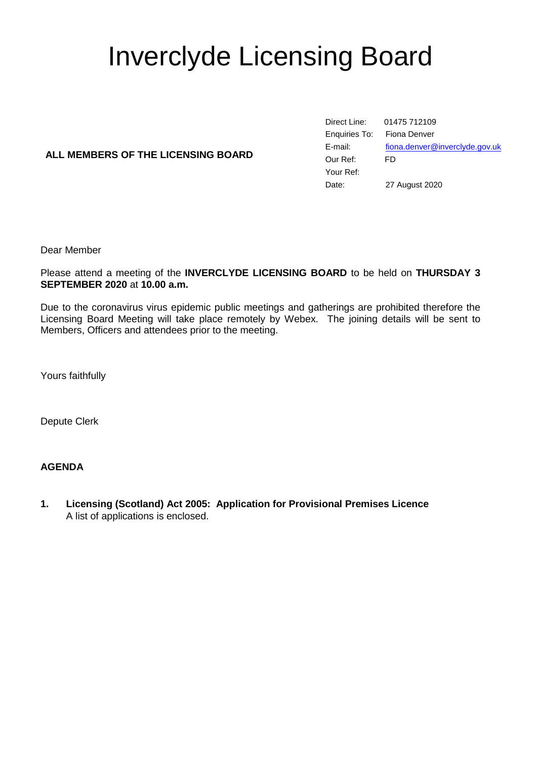# Inverclyde Licensing Board

# **ALL MEMBERS OF THE LICENSING BOARD**

Direct Line: 01475 712109 Enquiries To: Fiona Denver E-mail: [fiona.denver@inverclyde.gov.uk](mailto:fiona.denver@inverclyde.gov.uk) Our Ref: FD Your Ref: Date: 27 August 2020

Dear Member

Please attend a meeting of the **INVERCLYDE LICENSING BOARD** to be held on **THURSDAY 3 SEPTEMBER 2020** at **10.00 a.m.**

Due to the coronavirus virus epidemic public meetings and gatherings are prohibited therefore the Licensing Board Meeting will take place remotely by Webex. The joining details will be sent to Members, Officers and attendees prior to the meeting.

Yours faithfully

Depute Clerk

### **AGENDA**

**1. Licensing (Scotland) Act 2005: Application for Provisional Premises Licence** A list of applications is enclosed.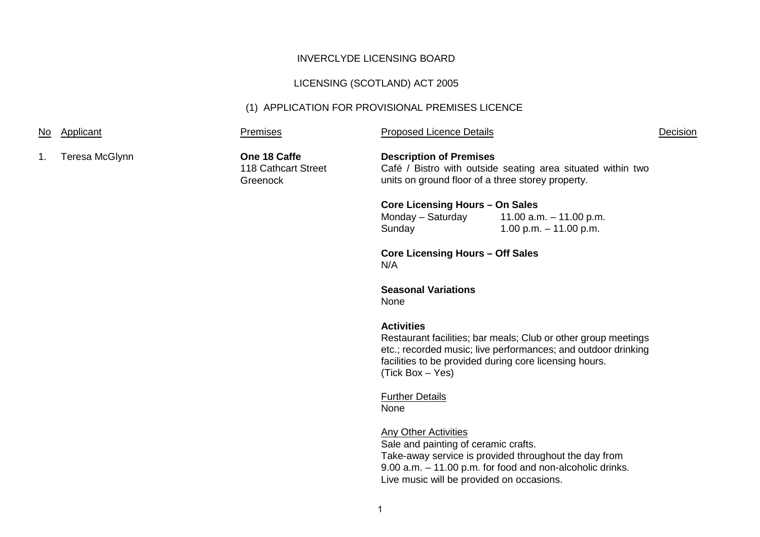# INVERCLYDE LICENSING BOARD

# LICENSING (SCOTLAND) ACT 2005

# (1) APPLICATION FOR PROVISIONAL PREMISES LICENCE

| No.            | Applicant      | <b>Premises</b>                                 | <b>Proposed Licence Details</b>                                                                                                                                                                                                    |                                                                                                                    | Decision |
|----------------|----------------|-------------------------------------------------|------------------------------------------------------------------------------------------------------------------------------------------------------------------------------------------------------------------------------------|--------------------------------------------------------------------------------------------------------------------|----------|
| $\mathbf{1}$ . | Teresa McGlynn | One 18 Caffe<br>118 Cathcart Street<br>Greenock | <b>Description of Premises</b><br>Café / Bistro with outside seating area situated within two<br>units on ground floor of a three storey property.                                                                                 |                                                                                                                    |          |
|                |                |                                                 | <b>Core Licensing Hours - On Sales</b>                                                                                                                                                                                             |                                                                                                                    |          |
|                |                |                                                 | Monday - Saturday<br>Sunday                                                                                                                                                                                                        | 11.00 a.m. $-$ 11.00 p.m.<br>1.00 p.m. $-$ 11.00 p.m.                                                              |          |
|                |                |                                                 | <b>Core Licensing Hours - Off Sales</b><br>N/A                                                                                                                                                                                     |                                                                                                                    |          |
|                |                |                                                 | <b>Seasonal Variations</b><br>None                                                                                                                                                                                                 |                                                                                                                    |          |
|                |                |                                                 | <b>Activities</b><br>Restaurant facilities; bar meals; Club or other group meetings<br>etc.; recorded music; live performances; and outdoor drinking<br>facilities to be provided during core licensing hours.<br>(Tick Box - Yes) |                                                                                                                    |          |
|                |                |                                                 | <b>Further Details</b><br><b>None</b>                                                                                                                                                                                              |                                                                                                                    |          |
|                |                |                                                 | <b>Any Other Activities</b><br>Sale and painting of ceramic crafts.<br>Live music will be provided on occasions.                                                                                                                   | Take-away service is provided throughout the day from<br>9.00 a.m. - 11.00 p.m. for food and non-alcoholic drinks. |          |